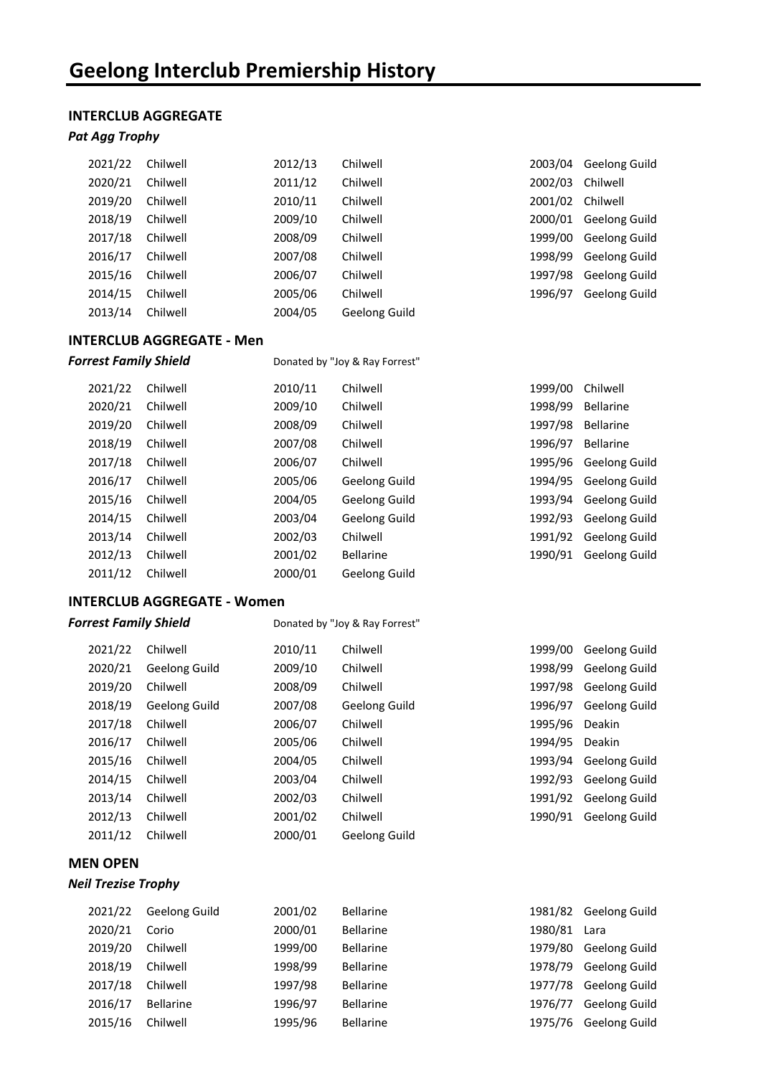#### INTERCLUB AGGREGATE

#### Pat Agg Trophy

| 2021/22 | Chilwell | 2012/13 | Chilwell             | 2003/04 | Geelong Guild |
|---------|----------|---------|----------------------|---------|---------------|
| 2020/21 | Chilwell | 2011/12 | Chilwell             | 2002/03 | Chilwell      |
| 2019/20 | Chilwell | 2010/11 | Chilwell             | 2001/02 | Chilwell      |
| 2018/19 | Chilwell | 2009/10 | Chilwell             | 2000/01 | Geelong Guild |
| 2017/18 | Chilwell | 2008/09 | Chilwell             | 1999/00 | Geelong Guild |
| 2016/17 | Chilwell | 2007/08 | Chilwell             | 1998/99 | Geelong Guild |
| 2015/16 | Chilwell | 2006/07 | Chilwell             | 1997/98 | Geelong Guild |
| 2014/15 | Chilwell | 2005/06 | Chilwell             | 1996/97 | Geelong Guild |
| 2013/14 | Chilwell | 2004/05 | <b>Geelong Guild</b> |         |               |

#### INTERCLUB AGGREGATE - Men

# **Forrest Family Shield** Donated by "Joy & Ray Forrest" 2021/22 Chilwell 2010/11 Chilwell 1999/00 Chilwell 2020/21 Chilwell 2009/10 Chilwell 1998/99 Bellarine 2019/20 Chilwell 2008/09 Chilwell 1997/98 Bellarine 2018/19 Chilwell 2007/08 Chilwell 1996/97 Bellarine 2017/18 Chilwell 2006/07 Chilwell 1995/96 Geelong Guild 2016/17 Chilwell 2005/06 Geelong Guild 1994/95 Geelong Guild 2015/16 Chilwell 2004/05 Geelong Guild 1993/94 Geelong Guild 2014/15 Chilwell 2003/04 Geelong Guild 1992/93 Geelong Guild 2013/14 Chilwell 2002/03 Chilwell 1991/92 Geelong Guild 2012/13 Chilwell 2001/02 Bellarine 1990/91 Geelong Guild 2011/12 Chilwell 2000/01 Geelong Guild

### INTERCLUB AGGREGATE - Women

|  |  | Forrest Family Shield |
|--|--|-----------------------|
|--|--|-----------------------|

Donated by "Joy & Ray Forrest"

| 2021/22 | Chilwell             | 2010/11 | Chilwell             | 1999/00 | <b>Geelong Guild</b> |
|---------|----------------------|---------|----------------------|---------|----------------------|
| 2020/21 | <b>Geelong Guild</b> | 2009/10 | Chilwell             | 1998/99 | Geelong Guild        |
| 2019/20 | Chilwell             | 2008/09 | Chilwell             | 1997/98 | <b>Geelong Guild</b> |
| 2018/19 | <b>Geelong Guild</b> | 2007/08 | <b>Geelong Guild</b> | 1996/97 | Geelong Guild        |
| 2017/18 | Chilwell             | 2006/07 | Chilwell             | 1995/96 | Deakin               |
| 2016/17 | Chilwell             | 2005/06 | Chilwell             | 1994/95 | Deakin               |
| 2015/16 | Chilwell             | 2004/05 | Chilwell             | 1993/94 | <b>Geelong Guild</b> |
| 2014/15 | Chilwell             | 2003/04 | Chilwell             | 1992/93 | <b>Geelong Guild</b> |
| 2013/14 | Chilwell             | 2002/03 | Chilwell             | 1991/92 | <b>Geelong Guild</b> |
| 2012/13 | Chilwell             | 2001/02 | Chilwell             | 1990/91 | <b>Geelong Guild</b> |
| 2011/12 | Chilwell             | 2000/01 | <b>Geelong Guild</b> |         |                      |
|         |                      |         |                      |         |                      |

### MEN OPEN

#### Neil Trezise Trophy

| 2021/22 | Geelong Guild | 2001/02 | <b>Bellarine</b> |         | 1981/82 Geelong Guild |
|---------|---------------|---------|------------------|---------|-----------------------|
| 2020/21 | Corio         | 2000/01 | <b>Bellarine</b> | 1980/81 | Lara                  |
| 2019/20 | Chilwell      | 1999/00 | <b>Bellarine</b> | 1979/80 | Geelong Guild         |
| 2018/19 | Chilwell      | 1998/99 | <b>Bellarine</b> | 1978/79 | <b>Geelong Guild</b>  |
| 2017/18 | Chilwell      | 1997/98 | <b>Bellarine</b> | 1977/78 | Geelong Guild         |
| 2016/17 | Bellarine     | 1996/97 | <b>Bellarine</b> | 1976/77 | Geelong Guild         |
| 2015/16 | Chilwell      | 1995/96 | <b>Bellarine</b> | 1975/76 | <b>Geelong Guild</b>  |
|         |               |         |                  |         |                       |

| 99/00 | Geelong Guild |
|-------|---------------|
| 98/99 | Geelong Guild |
| 97/98 | Geelong Guild |
| 96/97 | Geelong Guild |
| 95/96 | Deakin        |
| 94/95 | Deakin        |
| 93/94 | Geelong Guild |
|       |               |

| 992/93 Geelong Guild |
|----------------------|
| 991/92 Geelong Guild |
| 990/91 Geelong Guild |

|              | 1981/82 Geelong Guild |
|--------------|-----------------------|
| 1980/81 Lara |                       |
| 1979/80      | <b>Geelong Guild</b>  |
|              | 1978/79 Geelong Guild |
|              | 1977/78 Geelong Guild |
|              | 1976/77 Geelong Guild |
|              | 1975/76 Geelong Guild |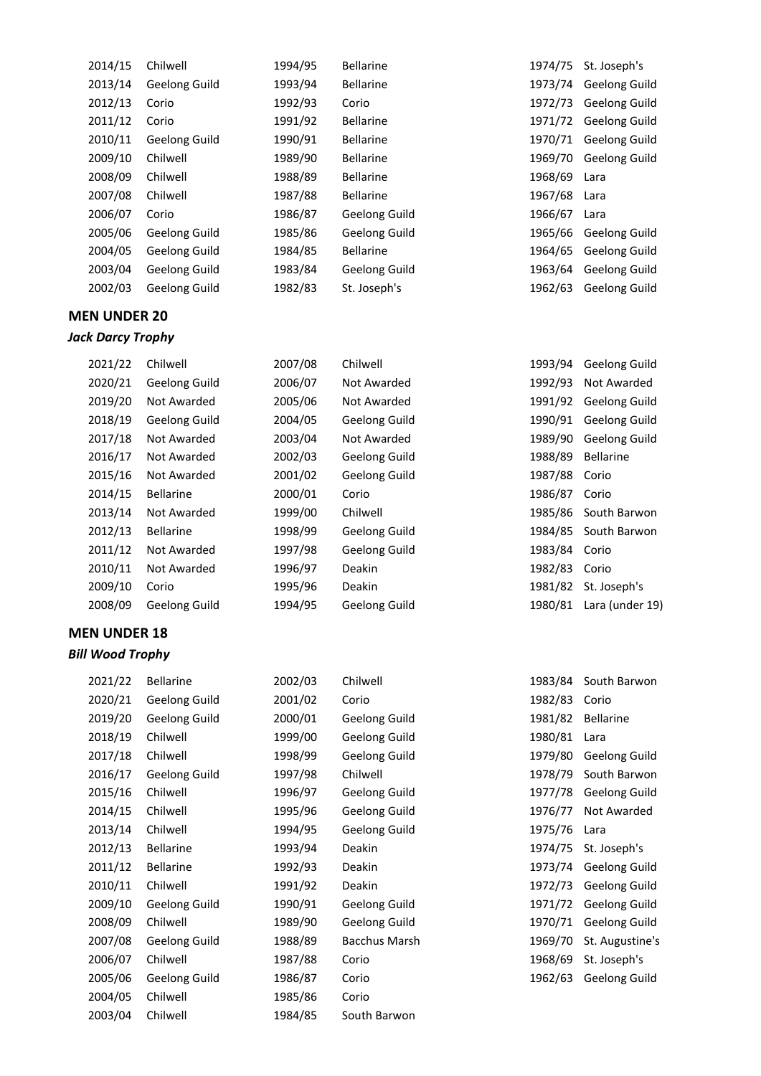| 2014/15 | Chilwell             | 1994/95 | <b>Bellarine</b>     | 1974/75      | St. Joseph's         |
|---------|----------------------|---------|----------------------|--------------|----------------------|
| 2013/14 | Geelong Guild        | 1993/94 | <b>Bellarine</b>     | 1973/74      | <b>Geelong Guild</b> |
| 2012/13 | Corio                | 1992/93 | Corio                | 1972/73      | <b>Geelong Guild</b> |
| 2011/12 | Corio                | 1991/92 | <b>Bellarine</b>     | 1971/72      | <b>Geelong Guild</b> |
| 2010/11 | Geelong Guild        | 1990/91 | <b>Bellarine</b>     | 1970/71      | Geelong Guild        |
| 2009/10 | Chilwell             | 1989/90 | <b>Bellarine</b>     | 1969/70      | <b>Geelong Guild</b> |
| 2008/09 | Chilwell             | 1988/89 | <b>Bellarine</b>     | 1968/69      | Lara                 |
| 2007/08 | Chilwell             | 1987/88 | <b>Bellarine</b>     | 1967/68 Lara |                      |
| 2006/07 | Corio                | 1986/87 | <b>Geelong Guild</b> | 1966/67      | Lara                 |
| 2005/06 | Geelong Guild        | 1985/86 | <b>Geelong Guild</b> | 1965/66      | Geelong Guild        |
| 2004/05 | Geelong Guild        | 1984/85 | <b>Bellarine</b>     | 1964/65      | Geelong Guild        |
| 2003/04 | Geelong Guild        | 1983/84 | <b>Geelong Guild</b> | 1963/64      | Geelong Guild        |
| 2002/03 | <b>Geelong Guild</b> | 1982/83 | St. Joseph's         | 1962/63      | Geelong Guild        |

## MEN UNDER 20

#### Jack Darcy Trophy

2021/22 Chilwell 2020/21 Geelong Guild 2019/20 Not Awarded 2018/19 Geelong Guild 2017/18 Not Awarded 2016/17 Not Awarded 2015/16 Not Awarded  $2014/15$  Bellarine  $2013/14$  Not Awarded  $2012/13$  Bellarine 2011/12 Not Awarded  $2010/11$  Not Awarded

| 2007/08 | Chilwell      |
|---------|---------------|
| 2006/07 | Not Awarded   |
| 2005/06 | Not Awarded   |
| 2004/05 | Geelong Guild |
| 2003/04 | Not Awarded   |
| 2002/03 | Geelong Guild |
| 2001/02 | Geelong Guild |
| 2000/01 | Corio         |
| 1999/00 | Chilwell      |
| 1998/99 | Geelong Guild |
| 1997/98 | Geelong Guild |
| 1996/97 | Deakin        |
| 1995/96 | Deakin        |
| 1994/95 | Geelong Guild |

| <b>MEN UNDER 18</b>     |
|-------------------------|
| <b>Bill Wood Trophy</b> |

2009/10 Corio

2008/09 Geelong Guild

| 2021/22 | <b>Bellarine</b> | 2002/03 | Chilwell             | 1983/84 | South Barwon     |
|---------|------------------|---------|----------------------|---------|------------------|
| 2020/21 | Geelong Guild    | 2001/02 | Corio                | 1982/83 | Corio            |
| 2019/20 | Geelong Guild    | 2000/01 | Geelong Guild        | 1981/82 | <b>Bellarine</b> |
| 2018/19 | Chilwell         | 1999/00 | Geelong Guild        | 1980/81 | Lara             |
| 2017/18 | Chilwell         | 1998/99 | Geelong Guild        | 1979/80 | Geelong Guild    |
| 2016/17 | Geelong Guild    | 1997/98 | Chilwell             | 1978/79 | South Barwon     |
| 2015/16 | Chilwell         | 1996/97 | Geelong Guild        | 1977/78 | Geelong Guild    |
| 2014/15 | Chilwell         | 1995/96 | Geelong Guild        | 1976/77 | Not Awarded      |
| 2013/14 | Chilwell         | 1994/95 | Geelong Guild        | 1975/76 | Lara             |
| 2012/13 | <b>Bellarine</b> | 1993/94 | Deakin               | 1974/75 | St. Joseph's     |
| 2011/12 | <b>Bellarine</b> | 1992/93 | Deakin               | 1973/74 | Geelong Guild    |
| 2010/11 | Chilwell         | 1991/92 | Deakin               | 1972/73 | Geelong Guild    |
| 2009/10 | Geelong Guild    | 1990/91 | Geelong Guild        | 1971/72 | Geelong Guild    |
| 2008/09 | Chilwell         | 1989/90 | Geelong Guild        | 1970/71 | Geelong Guild    |
| 2007/08 | Geelong Guild    | 1988/89 | <b>Bacchus Marsh</b> | 1969/70 | St. Augustine's  |
| 2006/07 | Chilwell         | 1987/88 | Corio                | 1968/69 | St. Joseph's     |
| 2005/06 | Geelong Guild    | 1986/87 | Corio                | 1962/63 | Geelong Guild    |
| 2004/05 | Chilwell         | 1985/86 | Corio                |         |                  |
| 2003/04 | Chilwell         | 1984/85 | South Barwon         |         |                  |
|         |                  |         |                      |         |                  |

| 1974/75 | St. Joseph's         |
|---------|----------------------|
| 1973/74 | <b>Geelong Guild</b> |
| 1972/73 | Geelong Guild        |
| 1971/72 | Geelong Guild        |
| 1970/71 | Geelong Guild        |
| 1969/70 | Geelong Guild        |
| 1968/69 | Lara                 |
| 1967/68 | l ara                |
| 1966/67 | Lara                 |
| 1965/66 | Geelong Guild        |
| 1964/65 | Geelong Guild        |
| 1963/64 | <b>Geelong Guild</b> |
| 1962/63 | Geelong Guild        |
|         |                      |

| 1993/94 | Geelong Guild   |
|---------|-----------------|
| 1992/93 | Not Awarded     |
| 1991/92 | Geelong Guild   |
| 1990/91 | Geelong Guild   |
| 1989/90 | Geelong Guild   |
| 1988/89 | Bellarine       |
| 1987/88 | Corio           |
| 1986/87 | Corio           |
| 1985/86 | South Barwon    |
| 1984/85 | South Barwon    |
| 1983/84 | Corio           |
| 1982/83 | Corio           |
| 1981/82 | St. Joseph's    |
| 1980/81 | Lara (under 19) |

| 1983/84 | South Barwon     |
|---------|------------------|
| 1982/83 | Corio            |
| 1981/82 | <b>Bellarine</b> |
| 1980/81 | l ara            |
| 1979/80 | Geelong Guild    |
| 1978/79 | South Barwon     |
| 1977/78 | Geelong Guild    |
| 1976/77 | Not Awarded      |
| 1975/76 | I ara            |
| 1974/75 | St. Joseph's     |
| 1973/74 | Geelong Guild    |
| 1972/73 | Geelong Guild    |
| 1971/72 | Geelong Guild    |
| 1970/71 | Geelong Guild    |
| 1969/70 | St. Augustine's  |
| 1968/69 | St. Joseph's     |
| 1962/63 | Geelong Guild    |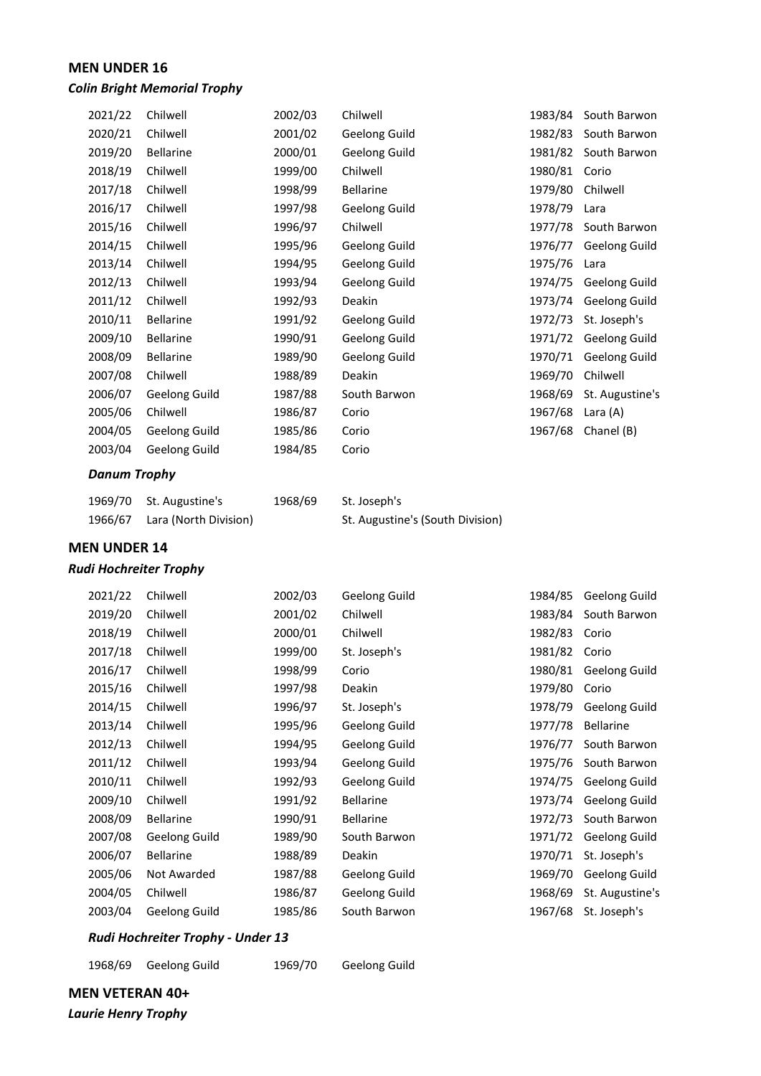# MEN UNDER 16 Colin Bright Memorial Trophy

| 2021/22      | Chilwell         | 2002/03 | Chilwell         | 1983/84 | South Barwon    |
|--------------|------------------|---------|------------------|---------|-----------------|
| 2020/21      | Chilwell         | 2001/02 | Geelong Guild    | 1982/83 | South Barwon    |
| 2019/20      | Bellarine        | 2000/01 | Geelong Guild    | 1981/82 | South Barwon    |
| 2018/19      | Chilwell         | 1999/00 | Chilwell         | 1980/81 | Corio           |
| 2017/18      | Chilwell         | 1998/99 | <b>Bellarine</b> | 1979/80 | Chilwell        |
| 2016/17      | Chilwell         | 1997/98 | Geelong Guild    | 1978/79 | Lara            |
| 2015/16      | Chilwell         | 1996/97 | Chilwell         | 1977/78 | South Barwon    |
| 2014/15      | Chilwell         | 1995/96 | Geelong Guild    | 1976/77 | Geelong Guild   |
| 2013/14      | Chilwell         | 1994/95 | Geelong Guild    | 1975/76 | Lara            |
| 2012/13      | Chilwell         | 1993/94 | Geelong Guild    | 1974/75 | Geelong Guild   |
| 2011/12      | Chilwell         | 1992/93 | Deakin           | 1973/74 | Geelong Guild   |
| 2010/11      | <b>Bellarine</b> | 1991/92 | Geelong Guild    | 1972/73 | St. Joseph's    |
| 2009/10      | <b>Bellarine</b> | 1990/91 | Geelong Guild    | 1971/72 | Geelong Guild   |
| 2008/09      | <b>Bellarine</b> | 1989/90 | Geelong Guild    | 1970/71 | Geelong Guild   |
| 2007/08      | Chilwell         | 1988/89 | Deakin           | 1969/70 | Chilwell        |
| 2006/07      | Geelong Guild    | 1987/88 | South Barwon     | 1968/69 | St. Augustine's |
| 2005/06      | Chilwell         | 1986/87 | Corio            | 1967/68 | Lara (A)        |
| 2004/05      | Geelong Guild    | 1985/86 | Corio            | 1967/68 | Chanel (B)      |
| 2003/04      | Geelong Guild    | 1984/85 | Corio            |         |                 |
| Danum Tronhu |                  |         |                  |         |                 |

#### Danum Trophy

| 1969/70 St. Augustine's       | 1968/69 | St. Joseph's                     |
|-------------------------------|---------|----------------------------------|
| 1966/67 Lara (North Division) |         | St. Augustine's (South Division) |

### MEN UNDER 14

#### Rudi Hochreiter Trophy

| 2021/22 | Chilwell         | 2002/03 | Geelong Guild    | 1984/85 | <b>Geelong Guild</b> |
|---------|------------------|---------|------------------|---------|----------------------|
| 2019/20 | Chilwell         | 2001/02 | Chilwell         | 1983/84 | South Barwon         |
| 2018/19 | Chilwell         | 2000/01 | Chilwell         | 1982/83 | Corio                |
| 2017/18 | Chilwell         | 1999/00 | St. Joseph's     | 1981/82 | Corio                |
| 2016/17 | Chilwell         | 1998/99 | Corio            | 1980/81 | Geelong Guild        |
| 2015/16 | Chilwell         | 1997/98 | Deakin           | 1979/80 | Corio                |
| 2014/15 | Chilwell         | 1996/97 | St. Joseph's     | 1978/79 | Geelong Guild        |
| 2013/14 | Chilwell         | 1995/96 | Geelong Guild    | 1977/78 | <b>Bellarine</b>     |
| 2012/13 | Chilwell         | 1994/95 | Geelong Guild    | 1976/77 | South Barwon         |
| 2011/12 | Chilwell         | 1993/94 | Geelong Guild    | 1975/76 | South Barwon         |
| 2010/11 | Chilwell         | 1992/93 | Geelong Guild    | 1974/75 | Geelong Guild        |
| 2009/10 | Chilwell         | 1991/92 | <b>Bellarine</b> | 1973/74 | <b>Geelong Guild</b> |
| 2008/09 | <b>Bellarine</b> | 1990/91 | <b>Bellarine</b> | 1972/73 | South Barwon         |
| 2007/08 | Geelong Guild    | 1989/90 | South Barwon     | 1971/72 | Geelong Guild        |
| 2006/07 | <b>Bellarine</b> | 1988/89 | Deakin           | 1970/71 | St. Joseph's         |
| 2005/06 | Not Awarded      | 1987/88 | Geelong Guild    | 1969/70 | Geelong Guild        |
| 2004/05 | Chilwell         | 1986/87 | Geelong Guild    | 1968/69 | St. Augustine's      |
| 2003/04 | Geelong Guild    | 1985/86 | South Barwon     | 1967/68 | St. Joseph's         |
|         |                  |         |                  |         |                      |

# Rudi Hochreiter Trophy - Under 13

1968/69 Geelong Guild 1969/70 Geelong Guild

MEN VETERAN 40+

Laurie Henry Trophy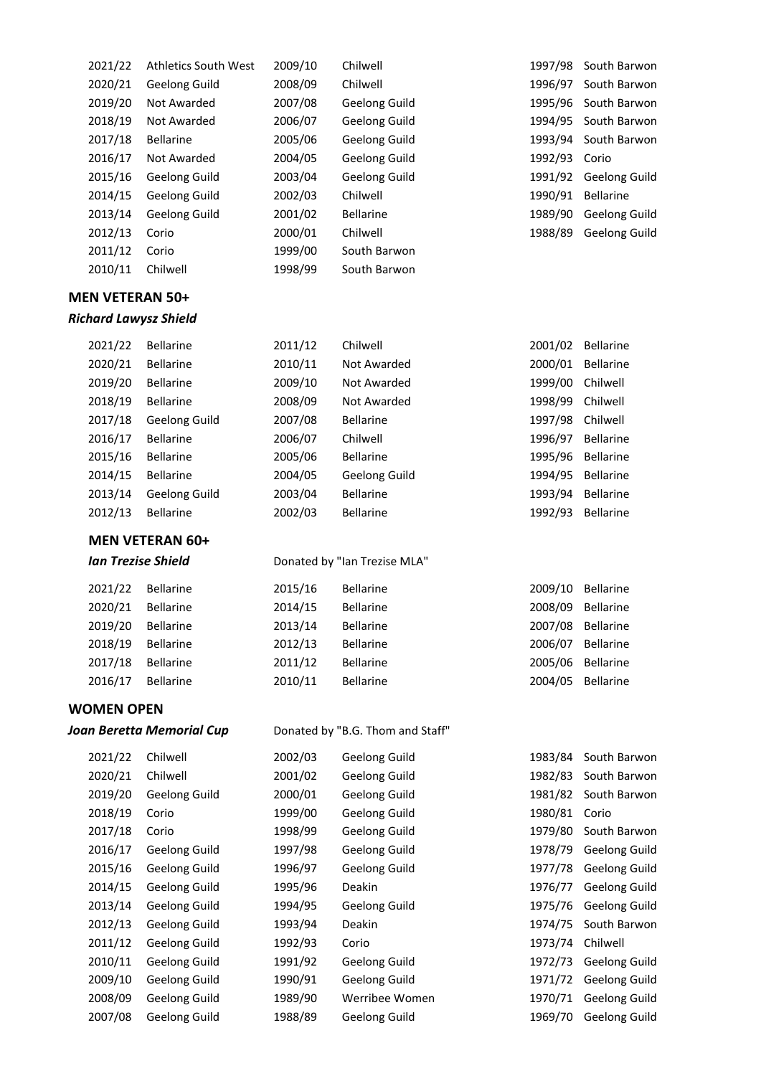| 2021/22 | <b>Athletics South West</b> | 2009/10 | Chilwell             | 1997/98 | South Barwon         |
|---------|-----------------------------|---------|----------------------|---------|----------------------|
| 2020/21 | <b>Geelong Guild</b>        | 2008/09 | Chilwell             | 1996/97 | South Barwon         |
| 2019/20 | Not Awarded                 | 2007/08 | Geelong Guild        | 1995/96 | South Barwon         |
| 2018/19 | Not Awarded                 | 2006/07 | Geelong Guild        | 1994/95 | South Barwon         |
| 2017/18 | Bellarine                   | 2005/06 | Geelong Guild        | 1993/94 | South Barwon         |
| 2016/17 | Not Awarded                 | 2004/05 | <b>Geelong Guild</b> | 1992/93 | Corio                |
| 2015/16 | <b>Geelong Guild</b>        | 2003/04 | Geelong Guild        | 1991/92 | <b>Geelong Guild</b> |
| 2014/15 | <b>Geelong Guild</b>        | 2002/03 | Chilwell             | 1990/91 | <b>Bellarine</b>     |
| 2013/14 | <b>Geelong Guild</b>        | 2001/02 | Bellarine            | 1989/90 | Geelong Guild        |
| 2012/13 | Corio                       | 2000/01 | Chilwell             | 1988/89 | Geelong Guild        |
| 2011/12 | Corio                       | 1999/00 | South Barwon         |         |                      |
| 2010/11 | Chilwell                    | 1998/99 | South Barwon         |         |                      |

### MEN VETERAN 50+

### Richard Lawysz Shield

| 2021/22 | <b>Bellarine</b>     | 2011/12 | Chilwell         | 2001/02 | <b>Bellarine</b> |
|---------|----------------------|---------|------------------|---------|------------------|
| 2020/21 | <b>Bellarine</b>     | 2010/11 | Not Awarded      | 2000/01 | <b>Bellarine</b> |
| 2019/20 | Bellarine            | 2009/10 | Not Awarded      | 1999/00 | Chilwell         |
| 2018/19 | <b>Bellarine</b>     | 2008/09 | Not Awarded      | 1998/99 | Chilwell         |
| 2017/18 | Geelong Guild        | 2007/08 | <b>Bellarine</b> | 1997/98 | Chilwell         |
| 2016/17 | Bellarine            | 2006/07 | Chilwell         | 1996/97 | <b>Bellarine</b> |
| 2015/16 | Bellarine            | 2005/06 | <b>Bellarine</b> | 1995/96 | <b>Bellarine</b> |
| 2014/15 | Bellarine            | 2004/05 | Geelong Guild    | 1994/95 | <b>Bellarine</b> |
| 2013/14 | <b>Geelong Guild</b> | 2003/04 | <b>Bellarine</b> | 1993/94 | <b>Bellarine</b> |
| 2012/13 | <b>Bellarine</b>     | 2002/03 | <b>Bellarine</b> | 1992/93 | <b>Bellarine</b> |
|         |                      |         |                  |         |                  |

#### Ian Trezise Shield **Donated by "Ian Trezise MLA"**

| 2015/16 | <b>Bellarine</b> | 2009/10 | Bellarine        |
|---------|------------------|---------|------------------|
| 2014/15 | <b>Bellarine</b> | 2008/09 | <b>Bellarine</b> |
| 2013/14 | <b>Bellarine</b> | 2007/08 | Bellarine        |
| 2012/13 | <b>Bellarine</b> | 2006/07 | <b>Bellarine</b> |
| 2011/12 | <b>Bellarine</b> | 2005/06 | Bellarine        |
| 2010/11 | <b>Bellarine</b> | 2004/05 | <b>Bellarine</b> |
|         |                  |         |                  |

#### WOMEN OPEN

Joan Beretta Memorial Cup Donated by "B.G. Thom and Staff"

MEN VETERAN 60+

2021/22 Bellarine 2020/21 Bellarine 2019/20 Bellarine 2018/19 Bellarine 2017/18 Bellarine 2016/17 Bellarine

| 2021/22 | Chilwell             | 2002/03 | Geelong Guild        | 1983/84 | South Barwon         |
|---------|----------------------|---------|----------------------|---------|----------------------|
| 2020/21 | Chilwell             | 2001/02 | Geelong Guild        | 1982/83 | South Barwon         |
| 2019/20 | Geelong Guild        | 2000/01 | Geelong Guild        | 1981/82 | South Barwon         |
| 2018/19 | Corio                | 1999/00 | <b>Geelong Guild</b> | 1980/81 | Corio                |
| 2017/18 | Corio                | 1998/99 | Geelong Guild        | 1979/80 | South Barwon         |
| 2016/17 | Geelong Guild        | 1997/98 | Geelong Guild        | 1978/79 | Geelong Guild        |
| 2015/16 | Geelong Guild        | 1996/97 | Geelong Guild        | 1977/78 | Geelong Guild        |
| 2014/15 | <b>Geelong Guild</b> | 1995/96 | <b>Deakin</b>        | 1976/77 | Geelong Guild        |
| 2013/14 | Geelong Guild        | 1994/95 | Geelong Guild        | 1975/76 | Geelong Guild        |
| 2012/13 | Geelong Guild        | 1993/94 | <b>Deakin</b>        | 1974/75 | South Barwon         |
| 2011/12 | Geelong Guild        | 1992/93 | Corio                | 1973/74 | Chilwell             |
| 2010/11 | <b>Geelong Guild</b> | 1991/92 | Geelong Guild        | 1972/73 | Geelong Guild        |
| 2009/10 | Geelong Guild        | 1990/91 | Geelong Guild        | 1971/72 | Geelong Guild        |
| 2008/09 | Geelong Guild        | 1989/90 | Werribee Women       | 1970/71 | <b>Geelong Guild</b> |
| 2007/08 | Geelong Guild        | 1988/89 | Geelong Guild        | 1969/70 | Geelong Guild        |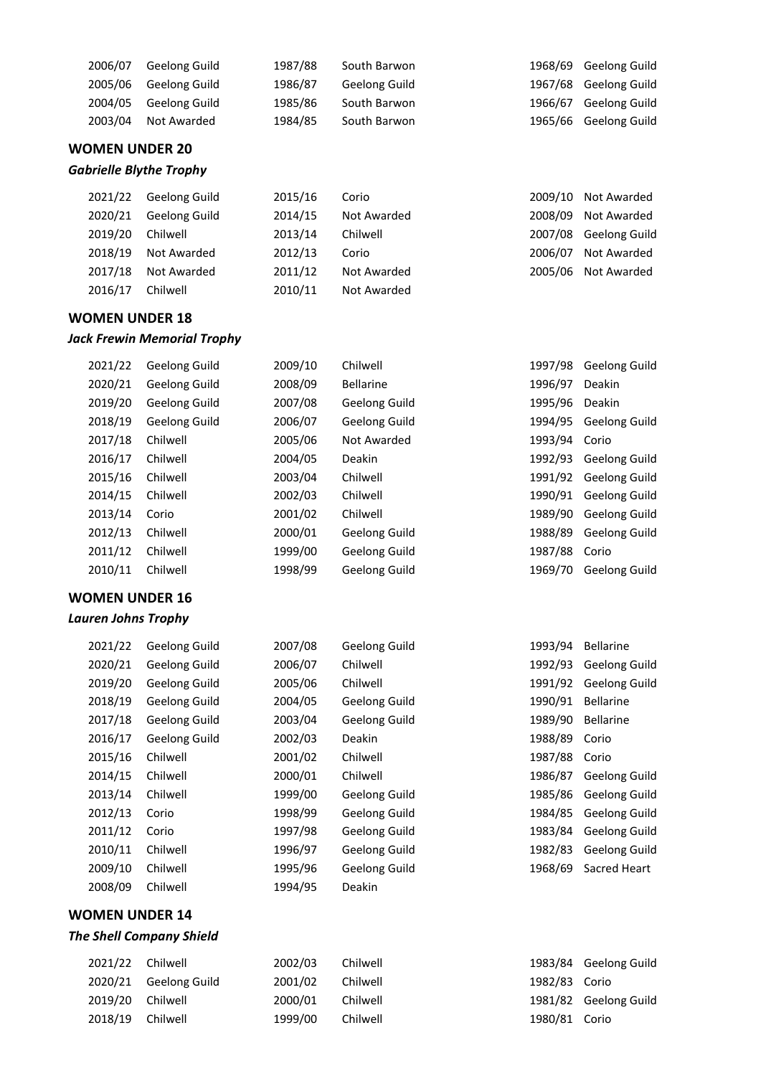| 2006/07 | Geelong Guild         | 1987/88 | South Barwon  | 1968/69 Geelong Guild |
|---------|-----------------------|---------|---------------|-----------------------|
|         | 2005/06 Geelong Guild | 1986/87 | Geelong Guild | 1967/68 Geelong Guild |
|         | 2004/05 Geelong Guild | 1985/86 | South Barwon  | 1966/67 Geelong Guild |
| 2003/04 | Not Awarded           | 1984/85 | South Barwon  | 1965/66 Geelong Guild |

### WOMEN UNDER 20

# Gabrielle Blythe Trophy

| 2021/22 | Geelong Guild | 2015/16 | Corio       |         | 2009/10 Not Awarded   |
|---------|---------------|---------|-------------|---------|-----------------------|
| 2020/21 | Geelong Guild | 2014/15 | Not Awarded | 2008/09 | Not Awarded           |
| 2019/20 | Chilwell      | 2013/14 | Chilwell    |         | 2007/08 Geelong Guild |
| 2018/19 | Not Awarded   | 2012/13 | Corio       | 2006/07 | Not Awarded           |
| 2017/18 | Not Awarded   | 2011/12 | Not Awarded | 2005/06 | Not Awarded           |
| 2016/17 | Chilwell      | 2010/11 | Not Awarded |         |                       |

# WOMEN UNDER 18

### Jack Frewin Memorial Trophy

| <b>Geelong Guild</b> | 2009/10 | Chilwell             | 1997/98 | <b>Geelong Guild</b> |
|----------------------|---------|----------------------|---------|----------------------|
| <b>Geelong Guild</b> | 2008/09 | <b>Bellarine</b>     | 1996/97 | Deakin               |
| <b>Geelong Guild</b> | 2007/08 | <b>Geelong Guild</b> | 1995/96 | Deakin               |
| <b>Geelong Guild</b> | 2006/07 | <b>Geelong Guild</b> | 1994/95 | <b>Geelong Guild</b> |
| Chilwell             | 2005/06 | Not Awarded          | 1993/94 | Corio                |
| Chilwell             | 2004/05 | Deakin               | 1992/93 | <b>Geelong Guild</b> |
| Chilwell             | 2003/04 | Chilwell             | 1991/92 | <b>Geelong Guild</b> |
| Chilwell             | 2002/03 | Chilwell             | 1990/91 | <b>Geelong Guild</b> |
| Corio                | 2001/02 | Chilwell             | 1989/90 | Geelong Guild        |
| Chilwell             | 2000/01 | <b>Geelong Guild</b> | 1988/89 | <b>Geelong Guild</b> |
| Chilwell             | 1999/00 | Geelong Guild        | 1987/88 | Corio                |
| Chilwell             | 1998/99 | <b>Geelong Guild</b> | 1969/70 | <b>Geelong Guild</b> |
|                      |         |                      |         |                      |

### WOMEN UNDER 16

# Lauren Johns Trophy

| 2021/22 | <b>Geelong Guild</b> | 2007/08 | Geelong Guild        | 1993/94 | <b>Bellarine</b>     |
|---------|----------------------|---------|----------------------|---------|----------------------|
| 2020/21 | <b>Geelong Guild</b> | 2006/07 | Chilwell             | 1992/93 | Geelong Guild        |
| 2019/20 | <b>Geelong Guild</b> | 2005/06 | Chilwell             | 1991/92 | Geelong Guild        |
| 2018/19 | <b>Geelong Guild</b> | 2004/05 | Geelong Guild        | 1990/91 | <b>Bellarine</b>     |
| 2017/18 | <b>Geelong Guild</b> | 2003/04 | Geelong Guild        | 1989/90 | <b>Bellarine</b>     |
| 2016/17 | <b>Geelong Guild</b> | 2002/03 | <b>Deakin</b>        | 1988/89 | Corio                |
| 2015/16 | Chilwell             | 2001/02 | Chilwell             | 1987/88 | Corio                |
| 2014/15 | Chilwell             | 2000/01 | Chilwell             | 1986/87 | Geelong Guild        |
| 2013/14 | Chilwell             | 1999/00 | <b>Geelong Guild</b> | 1985/86 | Geelong Guild        |
| 2012/13 | Corio                | 1998/99 | <b>Geelong Guild</b> | 1984/85 | <b>Geelong Guild</b> |
| 2011/12 | Corio                | 1997/98 | <b>Geelong Guild</b> | 1983/84 | Geelong Guild        |
| 2010/11 | Chilwell             | 1996/97 | <b>Geelong Guild</b> | 1982/83 | Geelong Guild        |
| 2009/10 | Chilwell             | 1995/96 | <b>Geelong Guild</b> | 1968/69 | Sacred Heart         |
| 2008/09 | Chilwell             | 1994/95 | Deakin               |         |                      |

### WOMEN UNDER 14

# The Shell Company Shield

| 2021/22 Chilwell |                       | 2002/03 | Chilwell |               | 1983/84 Geelong Guild |
|------------------|-----------------------|---------|----------|---------------|-----------------------|
|                  | 2020/21 Geelong Guild | 2001/02 | Chilwell | 1982/83 Corio |                       |
| 2019/20 Chilwell |                       | 2000/01 | Chilwell |               | 1981/82 Geelong Guild |
| 2018/19 Chilwell |                       | 1999/00 | Chilwell | 1980/81 Corio |                       |

| 1997/98 | Geelong Guild |
|---------|---------------|
| 1996/97 | Deakin        |
| 1995/96 | Deakin        |
| 1994/95 | Geelong Guild |
| 1993/94 | Corio         |
| 1992/93 | Geelong Guild |
| 1991/92 | Geelong Guild |
| 1990/91 | Geelong Guild |
|         |               |

| 1993/94 | Bellarine            |
|---------|----------------------|
| 1992/93 | Geelong Guild        |
| 1991/92 | Geelong Guild        |
| 1990/91 | Bellarine            |
| 1989/90 | Bellarine            |
| 1988/89 | Corio                |
| 1987/88 | Corio                |
| 1986/87 | <b>Geelong Guild</b> |
| 1985/86 | Geelong Guild        |
| 1984/85 | Geelong Guild        |
| 1983/84 | Geelong Guild        |
| 1982/83 | Geelong Guild        |
| 1968/69 | Sacred Heart         |

|               | 1983/84 Geelong Guild |
|---------------|-----------------------|
| 1982/83 Corio |                       |
|               | 1981/82 Geelong Guild |
| 1980/81 Corio |                       |